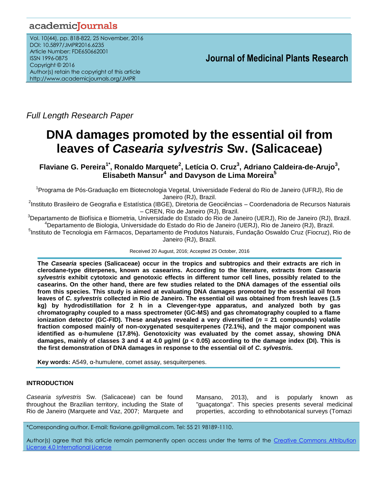# academicJournals

Vol. 10(44), pp. 818-822, 25 November, 2016 DOI: 10.5897/JMPR2016.6235 Article Number: FDE650662001 ISSN 1996-0875 Copyright © 2016 Author(s) retain the copyright of this article http://www.academicjournals.org/JMPR

 **Journal of Medicinal Plants Research**

*Full Length Research Paper*

# **DNA damages promoted by the essential oil from leaves of** *Casearia sylvestris* **Sw. (Salicaceae)**

**Flaviane G. Pereira1\* , Ronaldo Marquete<sup>2</sup> , Letícia O. Cruz<sup>3</sup> , Adriano Caldeira-de-Arujo<sup>3</sup> , Elisabeth Mansur<sup>4</sup> and Davyson de Lima Moreira<sup>5</sup>**

<sup>1</sup>Programa de Pós-Graduação em Biotecnologia Vegetal, Universidade Federal do Rio de Janeiro (UFRJ), Rio de Janeiro (RJ), Brazil.

<sup>2</sup>Instituto Brasileiro de Geografia e Estatística (IBGE), Diretoria de Geociências – Coordenadoria de Recursos Naturais – CREN, Rio de Janeiro (RJ), Brazil.

<sup>3</sup>Departamento de Biofísica e Biometria, Universidade do Estado do Rio de Janeiro (UERJ), Rio de Janeiro (RJ), Brazil. <sup>4</sup>Departamento de Biologia, Universidade do Estado do Rio de Janeiro (UERJ), Rio de Janeiro (RJ), Brazil.

<sup>5</sup>Instituto de Tecnologia em Fármacos, Departamento de Produtos Naturais, Fundação Oswaldo Cruz (Fiocruz), Rio de Janeiro (RJ), Brazil.

Received 20 August, 2016; Accepted 25 October, 2016

**The** *Casearia* **species (Salicaceae) occur in the tropics and subtropics and their extracts are rich in clerodane-type diterpenes, known as casearins. According to the literature, extracts from** *Casearia sylvestris* **exhibit cytotoxic and genotoxic effects in different tumor cell lines, possibly related to the casearins. On the other hand, there are few studies related to the DNA damages of the essential oils from this species. This study is aimed at evaluating DNA damages promoted by the essential oil from leaves of** *C. sylvestris* **collected in Rio de Janeiro. The essential oil was obtained from fresh leaves (1.5 kg) by hydrodistillation for 2 h in a Clevenger-type apparatus, and analyzed both by gas chromatography coupled to a mass spectrometer (GC-MS) and gas chromatography coupled to a flame ionization detector (GC-FID). These analyses revealed a very diversified (***n* **= 21 compounds) volatile fraction composed mainly of non-oxygenated sesquiterpenes (72.1%), and the major component was identified as α-humulene (17.8%). Genotoxicity was evaluated by the comet assay, showing DNA damages, mainly of classes 3 and 4 at 4.0 µg/ml (***p* **< 0.05) according to the damage index (DI). This is the first demonstration of DNA damages in response to the essential oil of** *C. sylvestris.*

**Key words:** A549, α-humulene, comet assay, sesquiterpenes.

# **INTRODUCTION**

*Casearia sylvestris* Sw. (Salicaceae) can be found throughout the Brazilian territory, including the State of Rio de Janeiro (Marquete and Vaz, 2007; Marquete and

Mansano, 2013), and is popularly known as "guaçatonga". This species presents several medicinal properties, according to ethnobotanical surveys (Tomazi

\*Corresponding author. E-mail: flaviane.gp@gmail.com. Tel: 55 21 98189-1110.

Author(s) agree that this article remain permanently open access under the terms of the Creative Commons Attribution License 4.0 [International](http://creativecommons.org/licenses/by/4.0/deed.en_US) License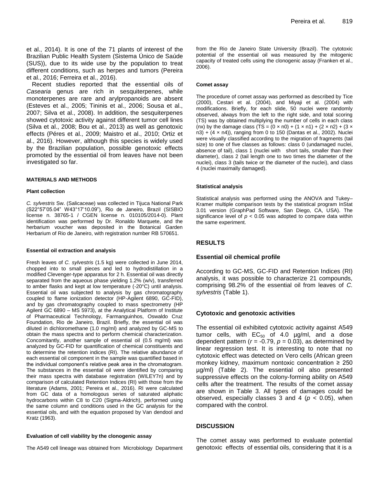et al., 2014). It is one of the 71 plants of interest of the Brazilian Public Health System (Sistema Único de Saúde (SUS)), due to its wide use by the population to treat different conditions, such as herpes and tumors (Pereira et al., 2016; Ferreira et al., 2016).

Recent studies reported that the essential oils of *Casearia* genus are rich in sesquiterpenes, while monoterpenes are rare and arylpropanoids are absent (Esteves et al., 2005; Tininis et al., 2006; Sousa et al., 2007; Silva et al., 2008). In addition, the sesquiterpenes showed cytotoxic activity against different tumor cell lines (Silva et al., 2008; Bou et al., 2013) as well as genotoxic effects (Péres et al., 2009; Maistro et al., 2010; Ortiz et al., 2016). However, although this species is widely used by the Brazilian population, possible genotoxic effects promoted by the essential oil from leaves have not been investigated so far.

#### **MATERIALS AND METHODS**

#### **Plant collection**

*C. sylvestris* Sw. (Salicaceae) was collected in Tijuca National Park (S22°57'05.04" W43°17'10.09"), Rio de Janeiro, Brazil (SISBIO license n. 38765-1 / CGEN license n. 010105/2014-0). Plant identification was performed by Dr. Ronaldo Marquete, and the herbarium voucher was deposited in the Botanical Garden Herbarium of Rio de Janeiro, with registration number RB 570651.

#### **Essential oil extraction and analysis**

Fresh leaves of *C. sylvestris* (1.5 kg) were collected in June 2014, chopped into to small pieces and led to hydrodistillation in a modified Clevenger-type apparatus for 2 h. Essential oil was directly separated from the aqueous phase yielding 1.2% (w/v), transferred to amber flasks and kept at low temperature (-20°C) until analysis. Essential oil was subjected to analysis by gas chromatography coupled to flame ionization detector (HP-Agilent 6890, GC-FID), and by gas chromatography coupled to mass spectrometry (HP Agilent GC 6890 – MS 5973), at the Analytical Platform of Institute of Pharmaceutical Technology, Farmanguinhos, Oswaldo Cruz Foundation, Rio de Janeiro, Brazil. Briefly, the essential oil was diluted in dichloromethane (1.0 mg/ml) and analyzed by GC-MS to obtain the mass spectra and to perform chemical characterization. Concomitantly, another sample of essential oil (0.5 mg/ml) was analyzed by GC-FID for quantification of chemical constituents and to determine the retention indices (RI). The relative abundance of each essential oil component in the sample was quantified based in the individual component's relative peak area in the chromatogram. The substances in the essential oil were identified by comparing their mass spectra with database registration (WILEY7n) and by comparison of calculated Retention Indices (RI) with those from the literature (Adams, 2001; Pereira et al., 2016). RI were calculated from GC data of a homologous series of saturated aliphatic hydrocarbons within C8 to C20 (Sigma-Aldrich), performed using the same column and conditions used in the GC analysis for the essential oils, and with the equation proposed by Van dendool and Kratz (1963).

#### **Evaluation of cell viability by the clonogenic assay**

The A549 cell lineage was obtained from Microbiology Department

from the Rio de Janeiro State University (Brazil). The cytotoxic potential of the essential oil was measured by the mitogenic capacity of treated cells using the clonogenic assay (Franken et al., 2006).

#### **Comet assay**

The procedure of comet assay was performed as described by Tice (2000), Cestari et al. (2004), and Miyaji et al. (2004) with modifications. Briefly, for each slide, 50 nuclei were randomly observed, always from the left to the right side, and total scoring (TS) was by obtained multiplying the number of cells in each class (nx) by the damage class (TS =  $(0 \times n0) + (1 \times n1) + (2 \times n2) + (3 \times n1)$ n3) + (4 × n4)), ranging from 0 to 150 (Dantas et al., 2002). Nuclei were visually classified according to the migration of fragments (tail size) to one of five classes as follows: class 0 (undamaged nuclei, absence of tail), class 1 (nuclei with short tails, smaller than their diameter), class 2 (tail length one to two times the diameter of the nuclei), class 3 (tails twice or the diameter of the nuclei), and class 4 (nuclei maximally damaged).

#### **Statistical analysis**

Statistical analysis was performed using the ANOVA and Tukey– Kramer multiple comparison tests by the statistical program InStat 3.01 version (GraphPad Software, San Diego, CA, USA). The significance level of  $p < 0.05$  was adopted to compare data within the same experiment.

# **RESULTS**

#### **Essential oil chemical profile**

According to GC-MS, GC-FID and Retention Indices (RI) analysis, it was possible to characterize 21 compounds, comprising 98.2% of the essential oil from leaves of *C. sylvestris* (Table 1).

## **Cytotoxic and genotoxic activities**

The essential oil exhibited cytotoxic activity against A549 tumor cells, with  $EC_{50}$  of 4.0  $\mu$ g/ml, and a dose dependent pattern ( $r = -0.79$ ,  $p = 0.03$ ), as determined by linear regression test. It is interesting to note that no cytotoxic effect was detected on Vero cells (African green monkey kidney, maximum nontoxic concentration  $\geq 250$ µg/ml) (Table 2). The essential oil also presented suppressive effects on the colony-forming ability on A549 cells after the treatment. The results of the comet assay are shown in Table 3. All types of damages could be observed, especially classes 3 and 4 (*p* < 0.05), when compared with the control.

## **DISCUSSION**

The comet assay was performed to evaluate potential genotoxic effects of essential oils, considering that it is a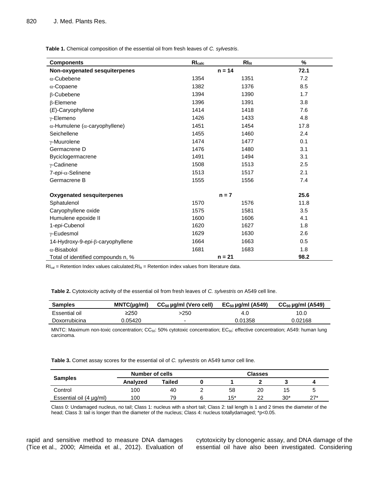**Table 1.** Chemical composition of the essential oil from fresh leaves of *C. sylvestris*.

| <b>Components</b>                             | $Rl_{\text{calc}}$ | RI <sub>lit</sub> | %    |
|-----------------------------------------------|--------------------|-------------------|------|
| Non-oxygenated sesquiterpenes                 | $n = 14$           |                   | 72.1 |
| $\alpha$ -Cubebene                            | 1354               | 1351              | 7.2  |
| $\alpha$ -Copaene                             | 1382               | 1376              | 8.5  |
| $\beta$ -Cubebene                             | 1394               | 1390              | 1.7  |
| $\beta$ -Elemene                              | 1396               | 1391              | 3.8  |
| (E)-Caryophyllene                             | 1414               | 1418              | 7.6  |
| γ-Elemeno                                     | 1426               | 1433              | 4.8  |
| $\alpha$ -Humulene ( $\alpha$ -caryophyllene) | 1451               | 1454              | 17.8 |
| Seichellene                                   | 1455               | 1460              | 2.4  |
| $\gamma$ -Muurolene                           | 1474               | 1477              | 0.1  |
| Germacrene D                                  | 1476               | 1480              | 3.1  |
| Byciclogermacrene                             | 1491               | 1494              | 3.1  |
| $\gamma$ -Cadinene                            | 1508               | 1513              | 2.5  |
| 7-epi-α-Selinene                              | 1513               | 1517              | 2.1  |
| Germacrene B                                  | 1555               | 1556              | 7.4  |
| <b>Oxygenated sesquiterpenes</b>              | $n = 7$            |                   | 25.6 |
| Sphatulenol                                   | 1570               | 1576              | 11.8 |
| Caryophyllene oxide                           | 1575               | 1581              | 3.5  |
| Humulene epoxide II                           | 1600               | 1606              | 4.1  |
| 1-epi-Cubenol                                 | 1620               | 1627              | 1.8  |
| γ-Eudesmol                                    | 1629               | 1630              | 2.6  |
| 14-Hydroxy-9-epi-β-caryophyllene              | 1664               | 1663              | 0.5  |
| $\alpha$ -Bisabolol                           | 1681               | 1683              | 1.8  |
| Total of identified compounds n, %            |                    | $n = 21$          | 98.2 |

 $RI<sub>cal</sub>$  = Retention Index values calculated;  $RI<sub>lit</sub>$  = Retention index values from literature data.

**Table 2.** Cytotoxicity activity of the essential oil from fresh leaves of *C. sylvestris* on A549 cell line.

| <b>Samples</b> | MNTC(µq/ml) | $CC_{50}$ µg/ml (Vero cell) | $EC_{50}$ µg/ml (A549) | $CC_{50}$ µg/ml (A549) |
|----------------|-------------|-----------------------------|------------------------|------------------------|
| Essential oil  | $\geq$ 250  | >250                        | 4.0                    | 10.0                   |
| Doxorrubicina  | 0.05420     |                             | 0.01358                | 0.02168                |

MNTC: Maximum non-toxic concentration; CC<sub>50</sub>: 50% cytotoxic concentration; EC<sub>50</sub>: effective concentration; A549: human lung carcinoma.

**Table 3.** Comet assay scores for the essential oil of *C. sylvestris* on A549 tumor cell line.

| <b>Samples</b>          | Number of cells |        | <b>Classes</b> |       |    |       |                     |
|-------------------------|-----------------|--------|----------------|-------|----|-------|---------------------|
|                         | Analyzed        | Tailed |                |       |    |       |                     |
| Control                 | 100             | 40     |                | 58    | 20 | 15    |                     |
| Essential oil (4 µg/ml) | 100             | 79.    |                | $15*$ | າາ | $30*$ | $27*$<br><u>_ 1</u> |

Class 0: Undamaged nucleus, no tail; Class 1: nucleus with a short tail; Class 2: tail length is 1 and 2 times the diameter of the head; Class 3: tail is longer than the diameter of the nucleus; Class 4: nucleus totallydamaged; \*p<0.05.

rapid and sensitive method to measure DNA damages (Tice et al., 2000; Almeida et al., 2012). Evaluation of cytotoxicity by clonogenic assay, and DNA damage of the essential oil have also been investigated. Considering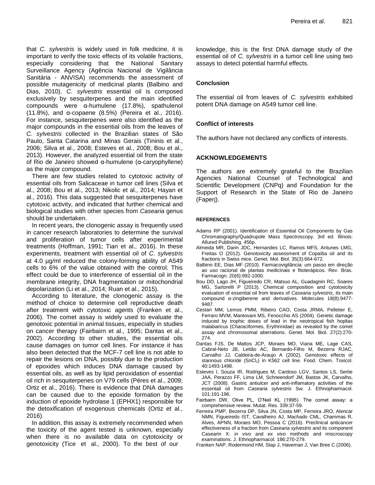that *C. sylvestris* is widely used in folk medicine, it is important to verify the toxic effects of its volatile fractions, especially considering that the National Sanitary Surveillance Agency (Agência Nacional de Vigilância Sanitária - ANVISA) recommends the assessment of possible mutagenicity of medicinal plants (Balbino and Dias, 2010). *C. sylvestris* essential oil is composed exclusively by sesquiterpenes and the main identified compounds were α-humulene (17.8%), spathulenol (11.8%), and α-copaene (8.5%) (Pereira et al., 2016). For instance, sesquiterpenes were also identified as the major compounds in the essential oils from the leaves of *C. sylvestris* collected in the Brazilian states of São Paulo, Santa Catarina and Minas Gerais (Tininis et al., 2006; Silva et al., 2008; Esteves et al., 2008; Bou et al., 2013). However, the analyzed essential oil from the state of Rio de Janeiro showed α-humulene (α-caryophyllene) as the major compound.

There are few studies related to cytotoxic activity of essential oils from Salicaceae in tumor cell lines (Silva et al., 2008; Bou et al., 2013; Nikolic et al., 2014; Hayan et al., 2016). This data suggested that sesquiterpenes have cytotoxic activity, and indicated that further chemical and biological studies with other species from *Casearia* genus should be undertaken.

In recent years, the clonogenic assay is frequently used in cancer research laboratories to determine the survival and proliferation of tumor cells after experimental treatments (Hoffman, 1991; Tian et al., 2016). In these experiments, treatment with essential oil of *C. sylvestris* at 4.0 µg/ml reduced the colony‐forming ability of A549 cells to 6% of the value obtained with the control. This effect could be due to interference of essential oil in the membrane integrity, DNA fragmentation or mitochondrial depolarization (Li et al., 2014; Ruan et al., 2015).

According to literature, the clonogenic assay is the method of choice to determine cell reproductive death after treatment with cytotoxic agents (Franken et al., 2006). The comet assay is widely used to evaluate the genotoxic potential in animal tissues, especially in studies on cancer therapy (Fairbairn et al., 1995; Dantas et al., 2002). According to other studies, the essential oils cause damages on tumor cell lines. For instance it has also been detected that the MCF-7 cell line is not able to repair the lesions on DNA, possibly due to the production of epoxides which induces DNA damage caused by essential oils, as well as by lipid peroxidation of essential oil rich in sesquiterpenes on V79 cells (Péres et al., 2009; Ortiz et al., 2016). There is evidence that DNA damages can be caused due to the epoxide formation by the induction of epoxide hydrolase 1 (EPHX1) responsible for the detoxification of exogenous chemicals (Ortiz et al., 2016).

In addition, this assay is extremely recommended when the toxicity of the agent tested is unknown, especially when there is no available data on cytotoxicity or genotoxicity (Tice et al., 2000). To the best of our

knowledge, this is the first DNA damage study of the essential oil of *C. sylvestris* in a tumor cell line using two assays to detect potential harmful effects.

# **Conclusion**

The essential oil from leaves of *C. sylvestris* exhibited potent DNA damage on A549 tumor cell line.

# **Conflict of interests**

The authors have not declared any conflicts of interests.

# **ACKNOWLEDGEMENTS**

The authors are extremely grateful to the Brazilian Agencies National Counsel of Technological and Scientific Development (CNPq) and Foundation for the Support of Research in the State of Rio de Janeiro (Faperj).

## **REFERENCES**

- Adams RP (2001). Identification of Essential Oil Components by Gas Chromatography/Quadrupole Mass Spectroscopy. 3rd ed. Illinois: Allured Publishing. 456p.
- Almeida MR, Darin JDC, Hernandes LC, Ramos MFS, Antunes LMG, Freitas O (2012). Genotoxicity assessment of Copaíba oil and its fractions in Swiss mice. Genet. Mol. Biol. 35(3):664-672.
- Balbino EE, Dias MF (2010). Farmacovigilância: um passo em direção ao uso racional de plantas medicinais e fitoterápicos. Rev. Bras. Farmacogn. 20(6):992-1000.
- Bou DD, Lago JH, Figueiredo CR, Matsuo AL, Guadagnin RC, Soares MG, Sartorelli P (2013). Chemical composition and cytotoxicity evaluation of essential oil from leaves of *Casearia sylvestris*, its main compound α-zingiberene and derivatives. Molecules 18(8):9477- 9487.
- Cestari MM, Lemos PMM, Ribeiro CAO, Costa JRMA, Pelletier E, Ferraro MVM, Mantovani MS, Fenocchio AS (2004). Genetic damage induced by trophic doses of lead in the neotropical fish hoplias malabaricus (Characiformes, Erythrinidae) as revealed by the comet assay and chromosomal aberrations. Genet. Mol. Biol. 27(2):270- 274.
- Dantas FJS, De Mattos JCP, Moraes MO, Viana ME, Lage CAS, Cabral-Neto JB, Leitão AC, Bernardo-Filho M, Bezerra RJAC, Carvalho JJ, Caldeira-de-Araujo A (2002). Genotoxic effects of stannous chloride (SnCl<sub>2</sub>) in K562 cell line. Food. Chem. Toxicol. 40:1493-1498.
- Esteves I, Souza IR, Rodrigues M, Cardoso LGV, Santos LS, Sertie JAA, Perazzo FF, Lima LM, Schneendorf JM, Bastos JK, Carvalho, JCT (2008). Gastric antiulcer and anti-inflamatory activities of the essentail oil from *Casearia sylvestris* Sw. J. Ethnopharmacol. 101:191-196.
- Fairbairn DW, Olive PL, O'Neil KL (1995). The comet assay: a comprehensive review. Mutat. Res. 339:37-59.
- Ferreira PMP, Bezerra DP, Silva JN, Costa MP, Ferreira JRO, Alencar NMN, Figueiredo IST, Cavalheiro AJ, Machado CML, Chammas R, Alves, APNN, Moraes MO, Pessoa C (2016). Preclinical anticancer effectiveness of a fraction from *Casearia sylvestris* and its component Casearin X: *in vivo* and *ex vivo* methods and miscroscopy examinations. J. Ethnopharmacol. 186:270-279.
- Franken NAP, Rodermond HM, Stap J, Haveman J, Van Bree C (2006).